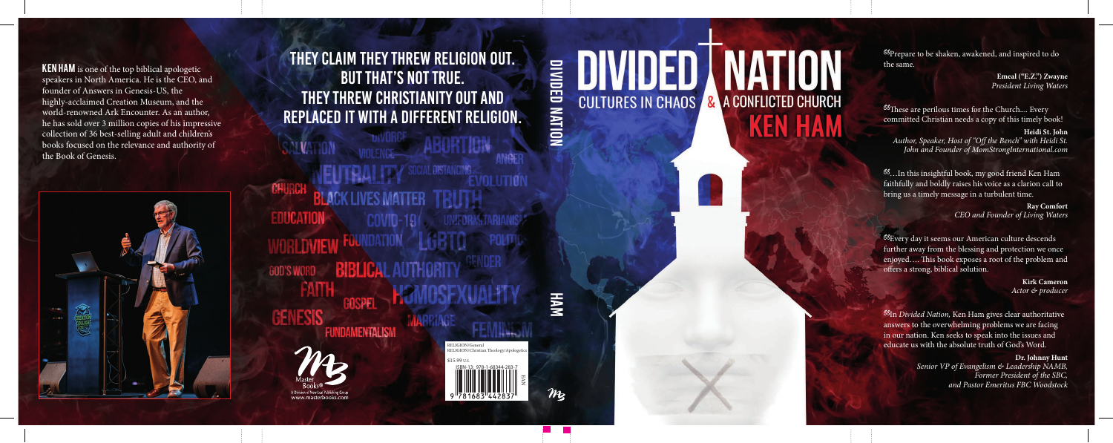# **DIVIDED NATION KEN HAM**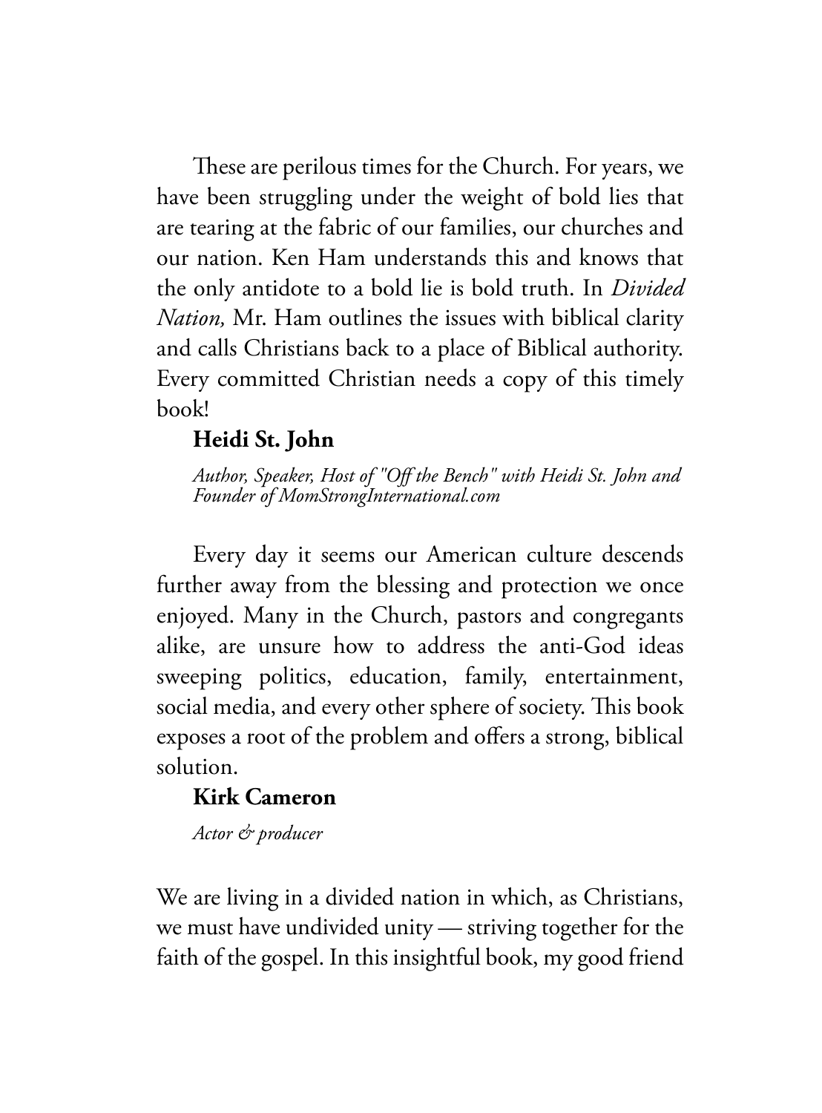These are perilous times for the Church. For years, we have been struggling under the weight of bold lies that are tearing at the fabric of our families, our churches and our nation. Ken Ham understands this and knows that the only antidote to a bold lie is bold truth. In *Divided Nation,* Mr. Ham outlines the issues with biblical clarity and calls Christians back to a place of Biblical authority. Every committed Christian needs a copy of this timely book!

### **Heidi St. John**

*Author, Speaker, Host of "Off the Bench" with Heidi St. John and Founder of MomStrongInternational.com*

Every day it seems our American culture descends further away from the blessing and protection we once enjoyed. Many in the Church, pastors and congregants alike, are unsure how to address the anti-God ideas sweeping politics, education, family, entertainment, social media, and every other sphere of society. This book exposes a root of the problem and offers a strong, biblical solution.

### **Kirk Cameron**

*Actor & producer*

We are living in a divided nation in which, as Christians, we must have undivided unity — striving together for the faith of the gospel. In this insightful book, my good friend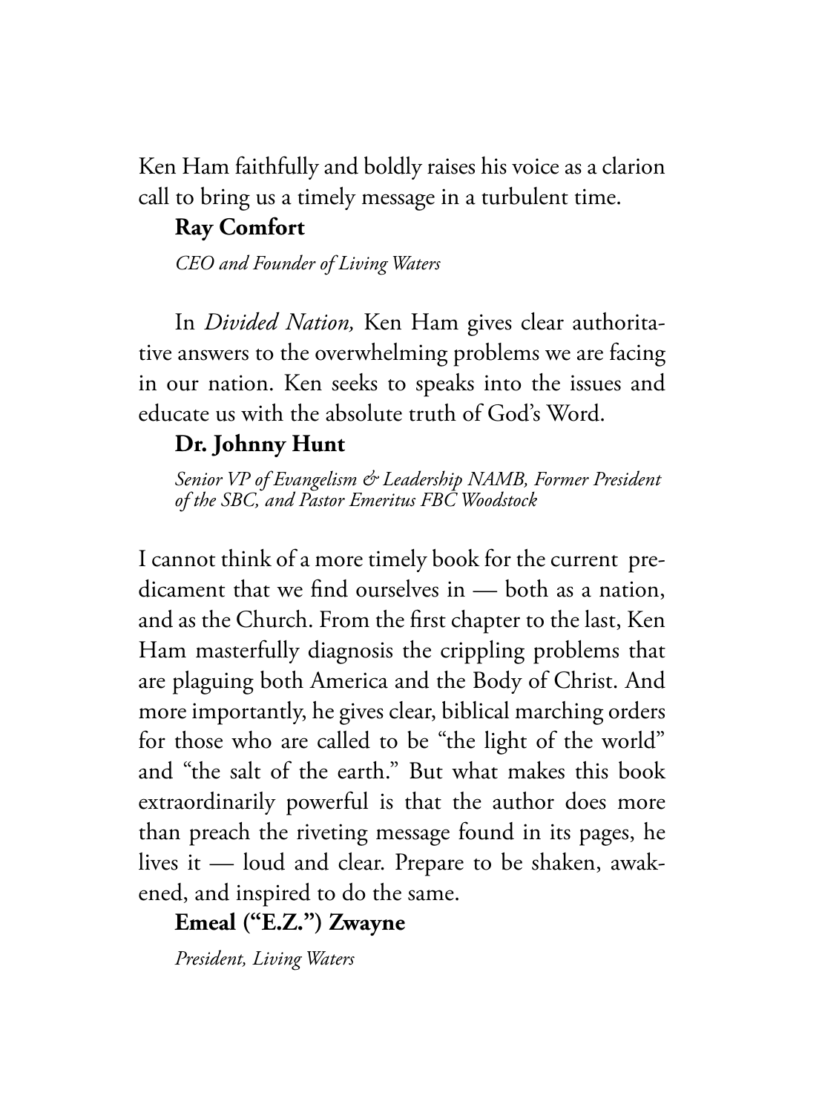Ken Ham faithfully and boldly raises his voice as a clarion call to bring us a timely message in a turbulent time.

### **Ray Comfort**

*CEO and Founder of Living Waters*

In *Divided Nation,* Ken Ham gives clear authoritative answers to the overwhelming problems we are facing in our nation. Ken seeks to speaks into the issues and educate us with the absolute truth of God's Word.

### **Dr. Johnny Hunt**

*Senior VP of Evangelism & Leadership NAMB, Former President of the SBC, and Pastor Emeritus FBC Woodstock*

I cannot think of a more timely book for the current predicament that we find ourselves in — both as a nation, and as the Church. From the first chapter to the last, Ken Ham masterfully diagnosis the crippling problems that are plaguing both America and the Body of Christ. And more importantly, he gives clear, biblical marching orders for those who are called to be "the light of the world" and "the salt of the earth." But what makes this book extraordinarily powerful is that the author does more than preach the riveting message found in its pages, he lives it — loud and clear. Prepare to be shaken, awakened, and inspired to do the same.

### **Emeal ("E.Z.") Zwayne**

*President, Living Waters*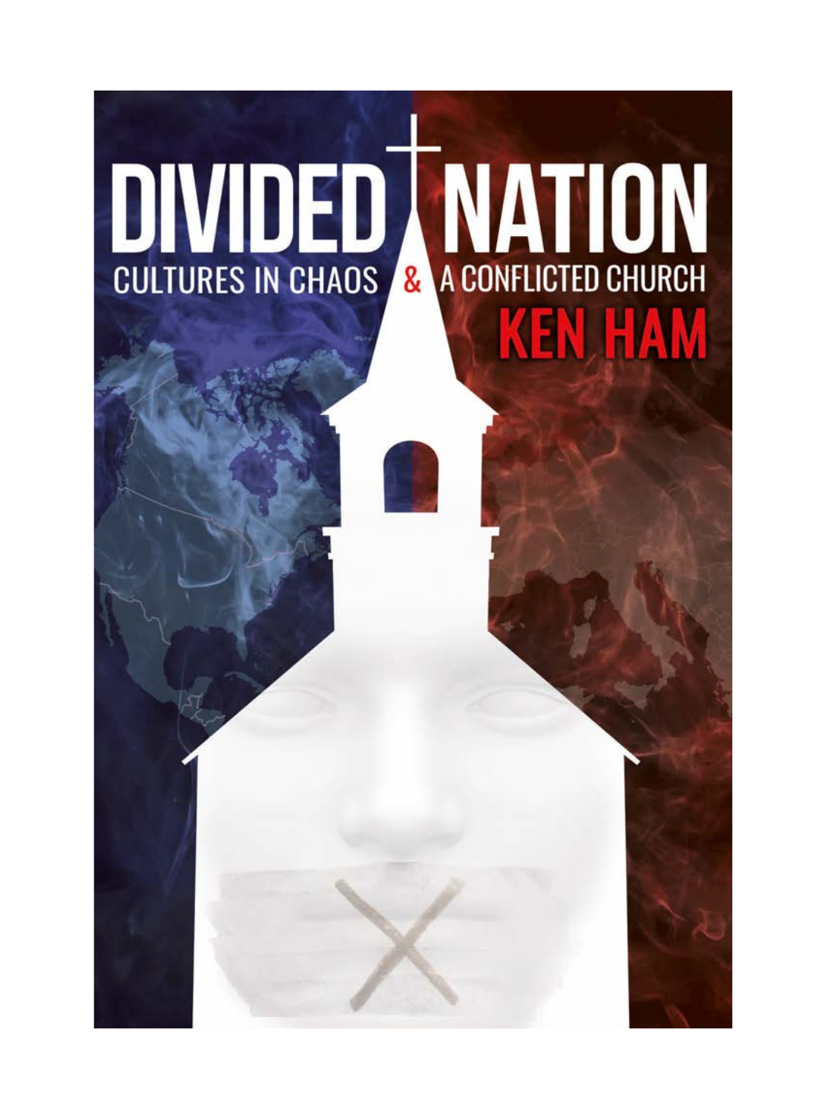## **DIVIDED MATION KEN HAM**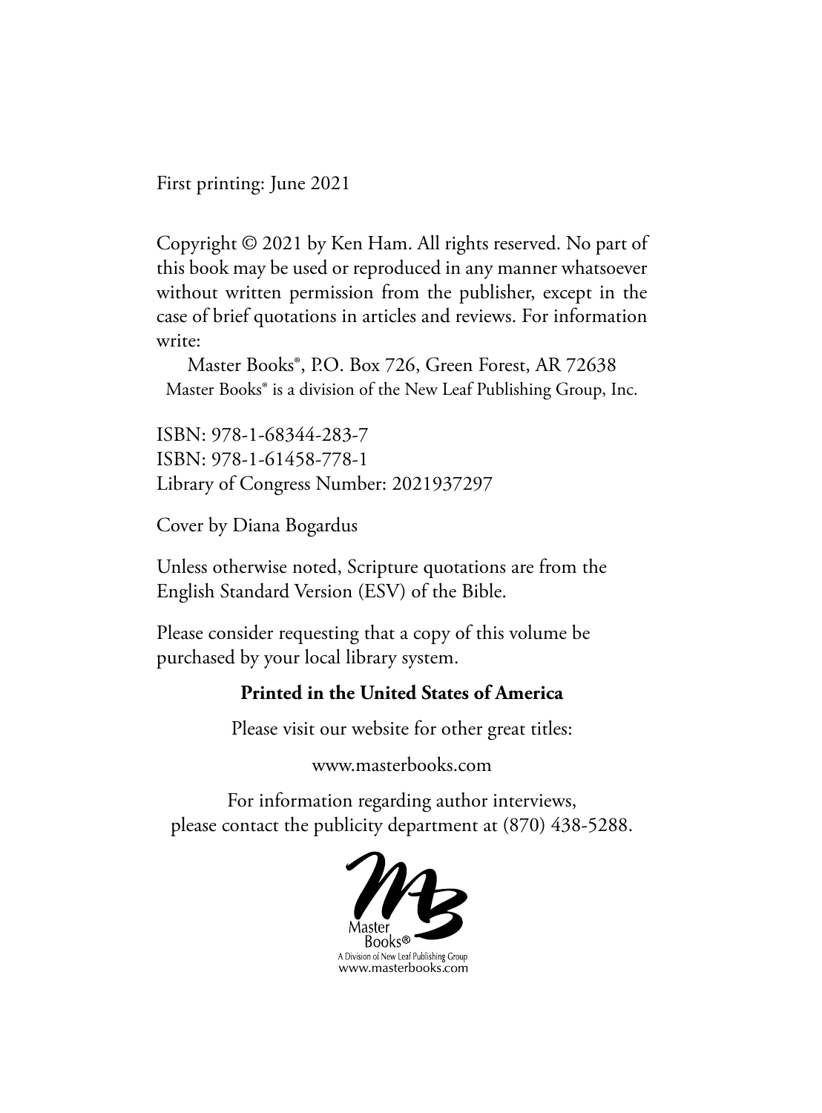First printing: June 2021

Copyright © 2021 by Ken Ham. All rights reserved. No part of this book may be used or reproduced in any manner whatsoever without written permission from the publisher, except in the case of brief quotations in articles and reviews. For information write:

Master Books®, P.O. Box 726, Green Forest, AR 72638 Master Books® is a division of the New Leaf Publishing Group, Inc.

ISBN: 978-1-68344-283-7 ISBN: 978-1-61458-778-1 Library of Congress Number: 2021937297

Cover by Diana Bogardus

Unless otherwise noted, Scripture quotations are from the English Standard Version (ESV) of the Bible.

Please consider requesting that a copy of this volume be purchased by your local library system.

### **Printed in the United States of America**

Please visit our website for other great titles:

www.masterbooks.com

For information regarding author interviews, please contact the publicity department at (870) 438-5288.

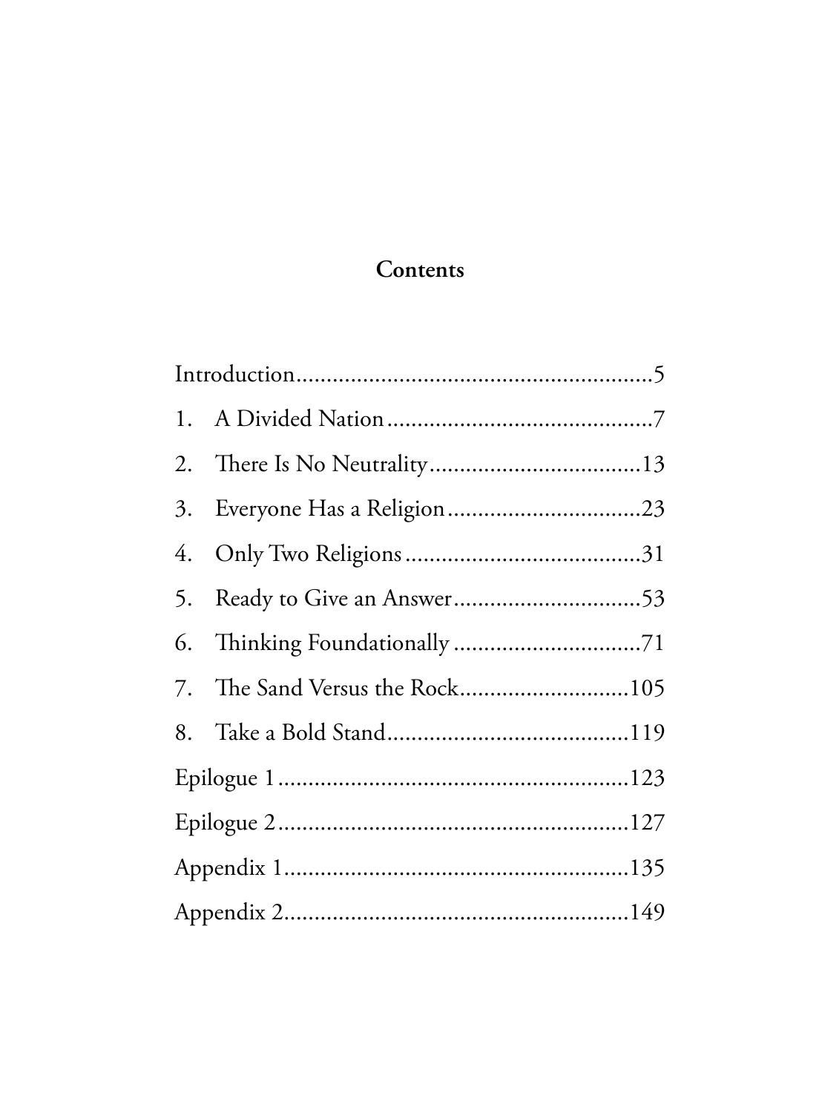### Contents

| 7. The Sand Versus the Rock105 |  |
|--------------------------------|--|
|                                |  |
|                                |  |
|                                |  |
|                                |  |
|                                |  |
|                                |  |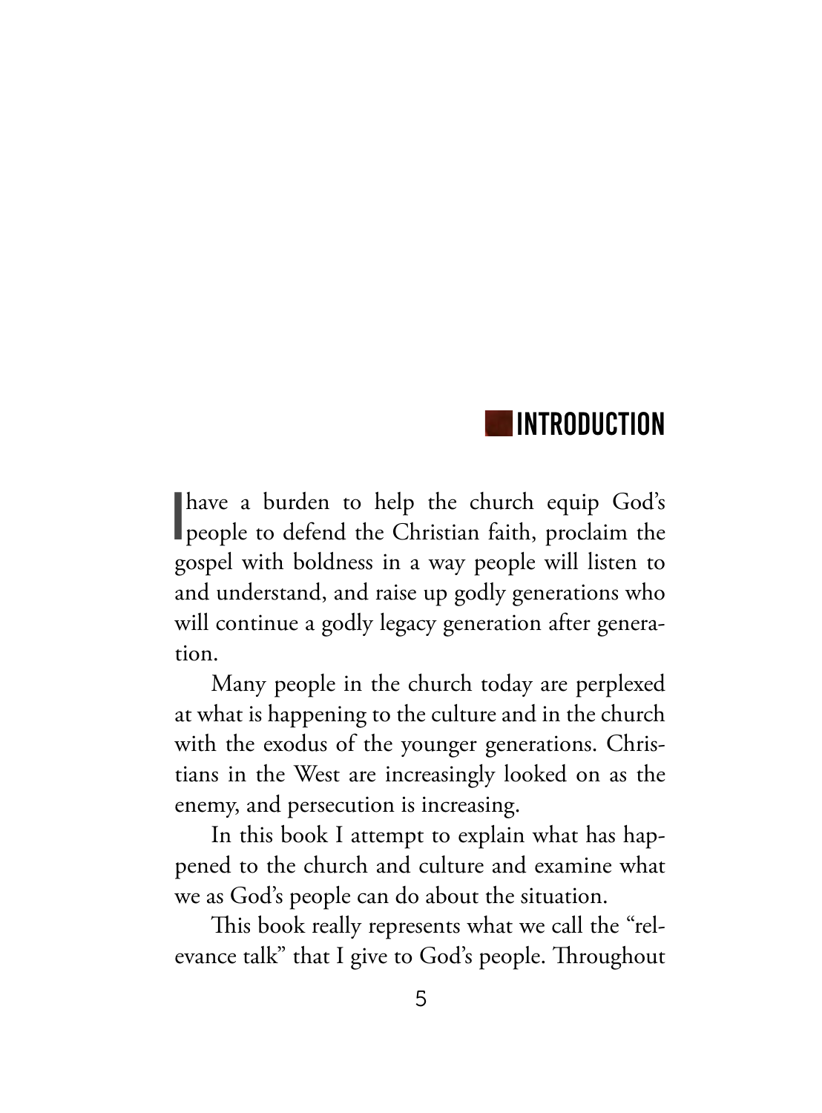### INTRODUCTION

I have a burden to help the church equip God's people to defend the Christian faith, proclaim the gospel with boldness in a way people will listen to and understand, and raise up godly generations who will continue a godly legacy generation after generation.

Many people in the church today are perplexed at what is happening to the culture and in the church with the exodus of the younger generations. Christians in the West are increasingly looked on as the enemy, and persecution is increasing.

In this book I attempt to explain what has happened to the church and culture and examine what we as God's people can do about the situation.

This book really represents what we call the "relevance talk" that I give to God's people. Throughout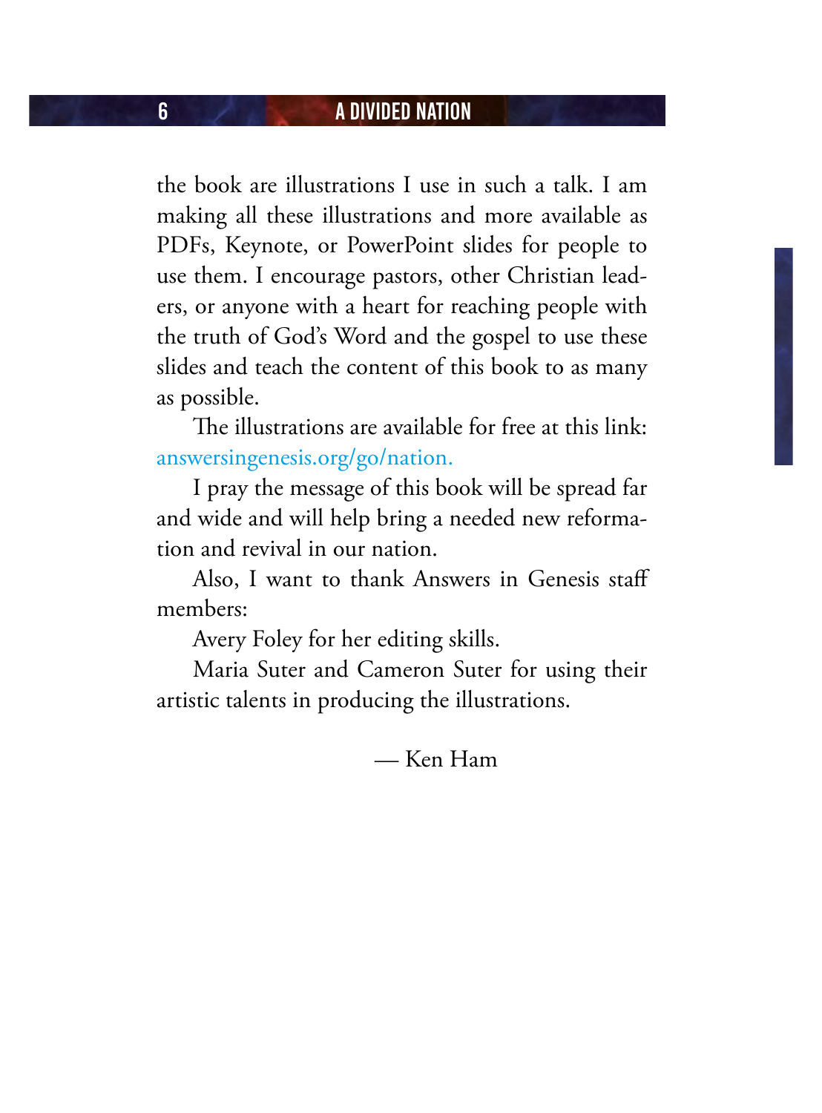the book are illustrations I use in such a talk. I am making all these illustrations and more available as PDFs, Keynote, or PowerPoint slides for people to use them. I encourage pastors, other Christian leaders, or anyone with a heart for reaching people with the truth of God's Word and the gospel to use these slides and teach the content of this book to as many as possible.

The illustrations are available for free at this link: answersingenesis.org/go/nation.

I pray the message of this book will be spread far and wide and will help bring a needed new reformation and revival in our nation.

Also, I want to thank Answers in Genesis staff members:

Avery Foley for her editing skills.

Maria Suter and Cameron Suter for using their artistic talents in producing the illustrations.

— Ken Ham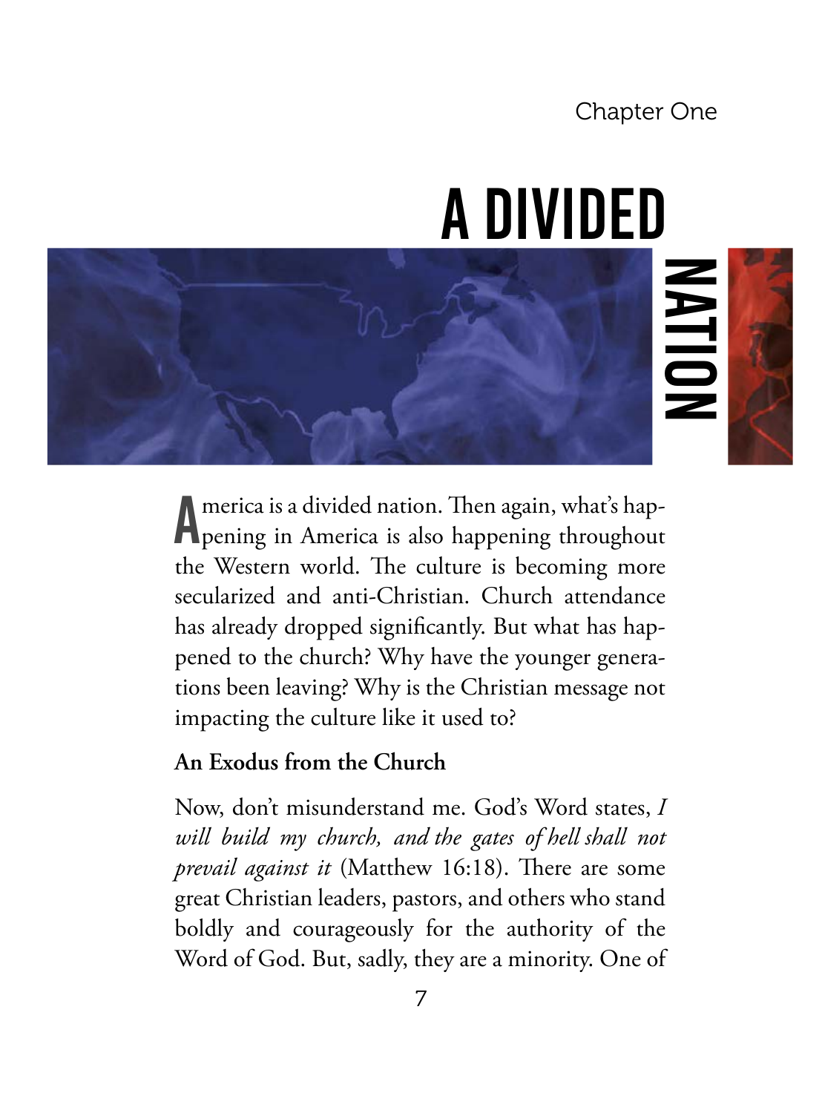Chapter One

Allt<sup>r</sup>

### A Divided

A pening in America is also happening throughout merica is a divided nation. Then again, what's hapthe Western world. The culture is becoming more secularized and anti-Christian. Church attendance has already dropped significantly. But what has happened to the church? Why have the younger generations been leaving? Why is the Christian message not impacting the culture like it used to?

### **An Exodus from the Church**

Now, don't misunderstand me. God's Word states, *I will build my church, and the gates of hell shall not prevail against it* (Matthew 16:18). There are some great Christian leaders, pastors, and others who stand boldly and courageously for the authority of the Word of God. But, sadly, they are a minority. One of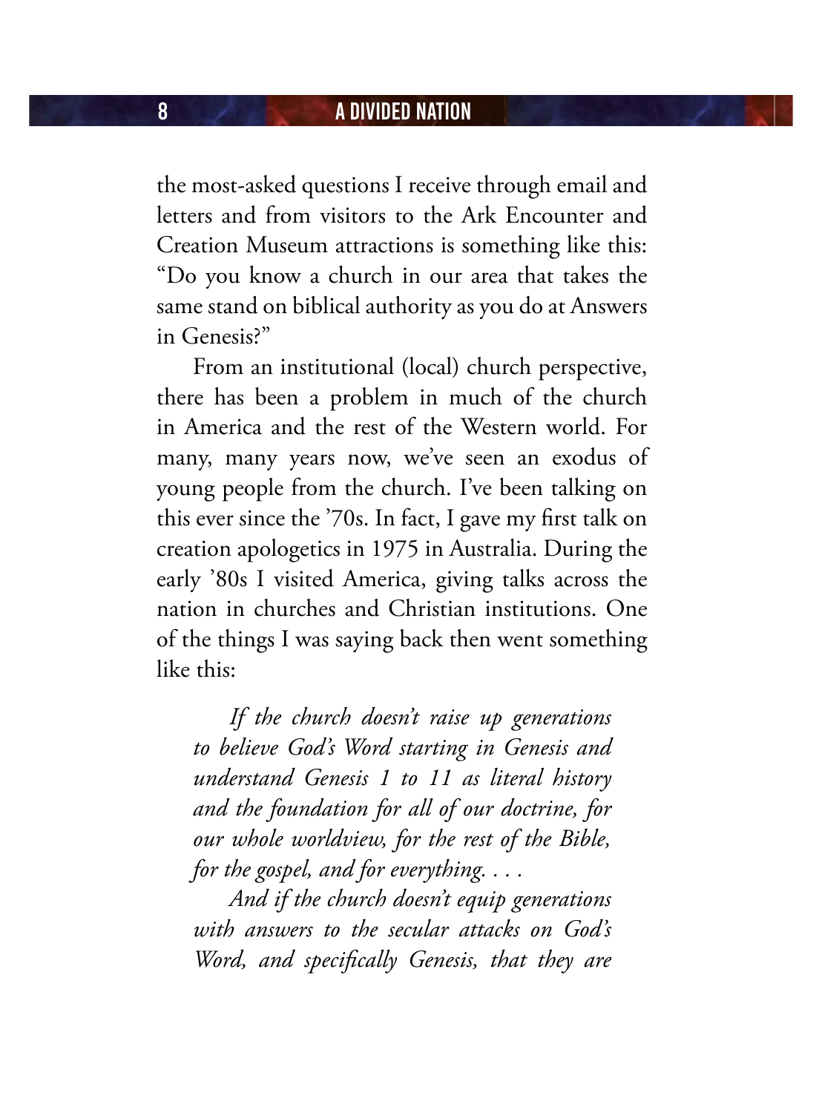the most-asked questions I receive through email and letters and from visitors to the Ark Encounter and Creation Museum attractions is something like this: "Do you know a church in our area that takes the same stand on biblical authority as you do at Answers in Genesis?"

From an institutional (local) church perspective, there has been a problem in much of the church in America and the rest of the Western world. For many, many years now, we've seen an exodus of young people from the church. I've been talking on this ever since the '70s. In fact, I gave my first talk on creation apologetics in 1975 in Australia. During the early '80s I visited America, giving talks across the nation in churches and Christian institutions. One of the things I was saying back then went something like this:

*If the church doesn't raise up generations to believe God's Word starting in Genesis and understand Genesis 1 to 11 as literal history and the foundation for all of our doctrine, for our whole worldview, for the rest of the Bible, for the gospel, and for everything. . . .*

*And if the church doesn't equip generations with answers to the secular attacks on God's Word, and specifically Genesis, that they are*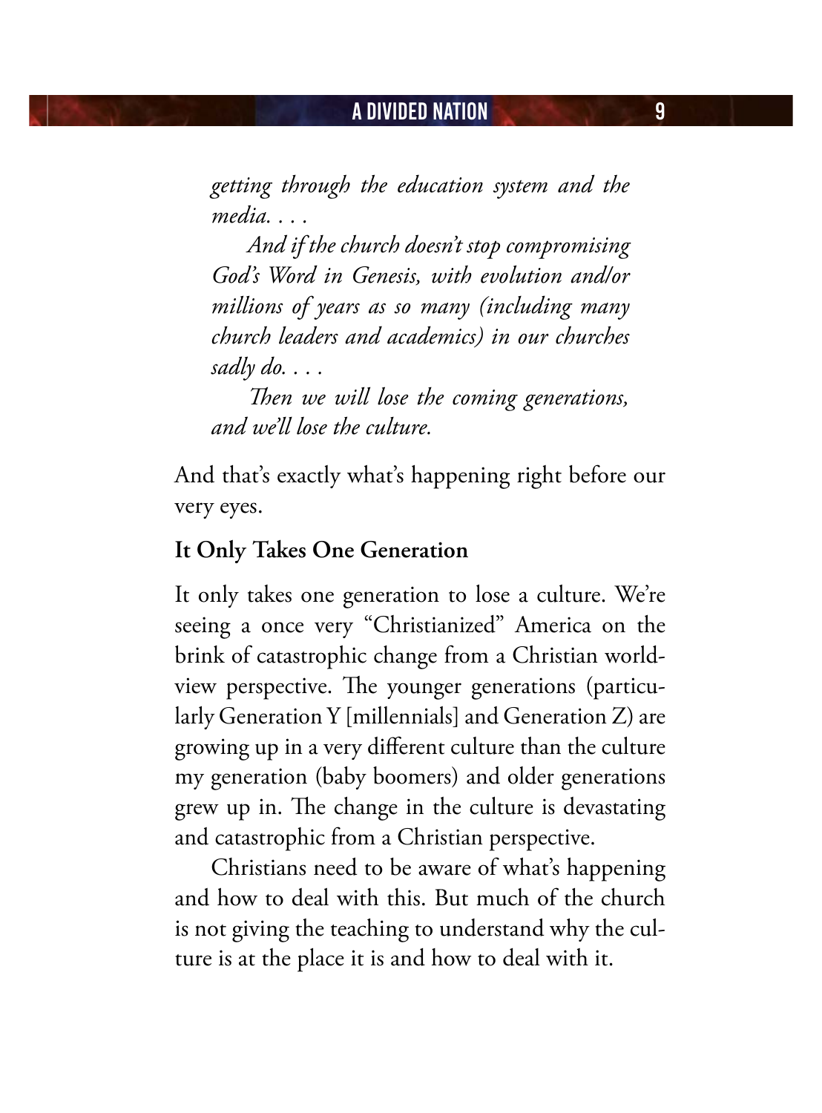*getting through the education system and the media. . . .*

*And if the church doesn't stop compromising God's Word in Genesis, with evolution and/or millions of years as so many (including many church leaders and academics) in our churches sadly do. . . .*

*Then we will lose the coming generations, and we'll lose the culture.*

And that's exactly what's happening right before our very eyes.

### **It Only Takes One Generation**

It only takes one generation to lose a culture. We're seeing a once very "Christianized" America on the brink of catastrophic change from a Christian worldview perspective. The younger generations (particularly Generation Y [millennials] and Generation Z) are growing up in a very different culture than the culture my generation (baby boomers) and older generations grew up in. The change in the culture is devastating and catastrophic from a Christian perspective.

Christians need to be aware of what's happening and how to deal with this. But much of the church is not giving the teaching to understand why the culture is at the place it is and how to deal with it.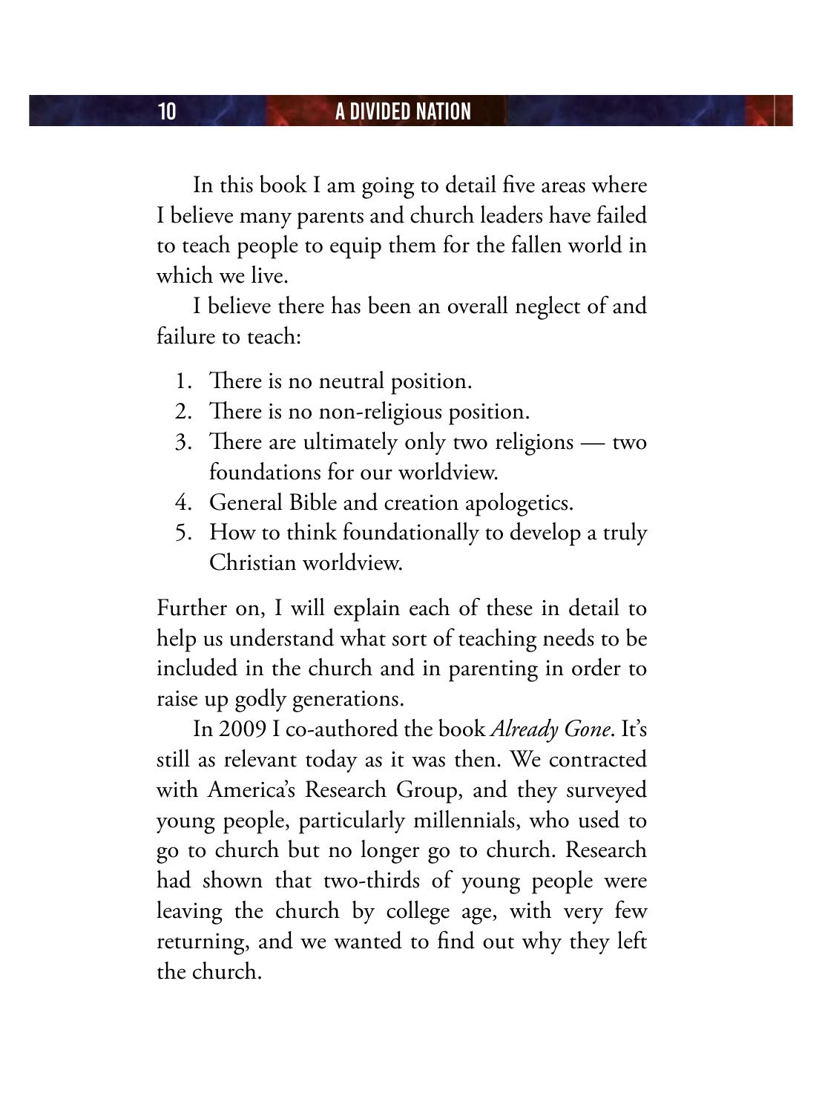In this book I am going to detail five areas where I believe many parents and church leaders have failed to teach people to equip them for the fallen world in which we live.

I believe there has been an overall neglect of and failure to teach:

- 1. There is no neutral position.
- 2. There is no non-religious position.
- 3. There are ultimately only two religions two foundations for our worldview.
- 4. General Bible and creation apologetics.
- 5. How to think foundationally to develop a truly Christian worldview.

Further on, I will explain each of these in detail to help us understand what sort of teaching needs to be included in the church and in parenting in order to raise up godly generations.

In 2009 I co-authored the book *Already Gone*. It's still as relevant today as it was then. We contracted with America's Research Group, and they surveyed young people, particularly millennials, who used to go to church but no longer go to church. Research had shown that two-thirds of young people were leaving the church by college age, with very few returning, and we wanted to find out why they left the church.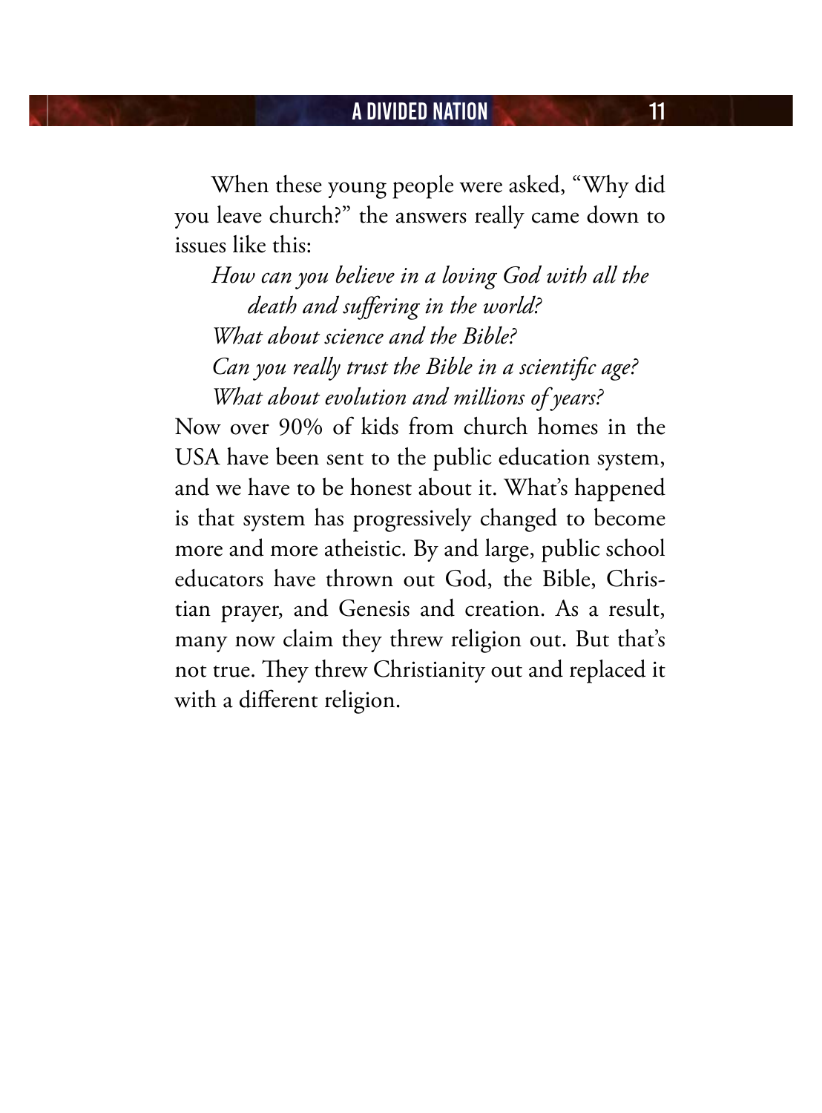### A Divided Nation 11

When these young people were asked, "Why did you leave church?" the answers really came down to issues like this:

*How can you believe in a loving God with all the death and suffering in the world? What about science and the Bible? Can you really trust the Bible in a scientific age? What about evolution and millions of years?*

Now over 90% of kids from church homes in the USA have been sent to the public education system, and we have to be honest about it. What's happened is that system has progressively changed to become more and more atheistic. By and large, public school educators have thrown out God, the Bible, Christian prayer, and Genesis and creation. As a result, many now claim they threw religion out. But that's not true. They threw Christianity out and replaced it with a different religion.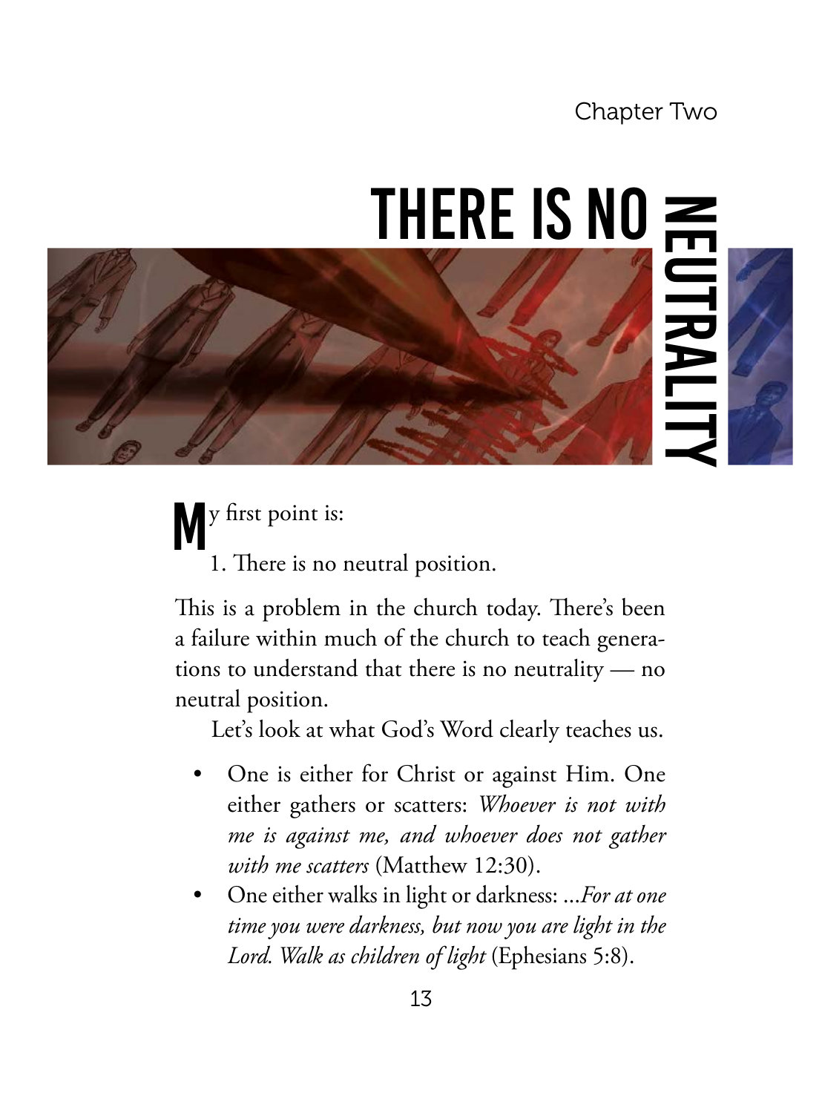### Chapter Two

### THERE IS  $N0 \ncong$



W<sup>y first</sup> point is: 1. There is no neutral position.

This is a problem in the church today. There's been a failure within much of the church to teach generations to understand that there is no neutrality — no neutral position.

Let's look at what God's Word clearly teaches us.

- One is either for Christ or against Him. One either gathers or scatters: *Whoever is not with me is against me, and whoever does not gather with me scatters* (Matthew 12:30).
- One either walks in light or darkness: ...*For at one time you were darkness, but now you are light in the Lord. Walk as children of light* (Ephesians 5:8).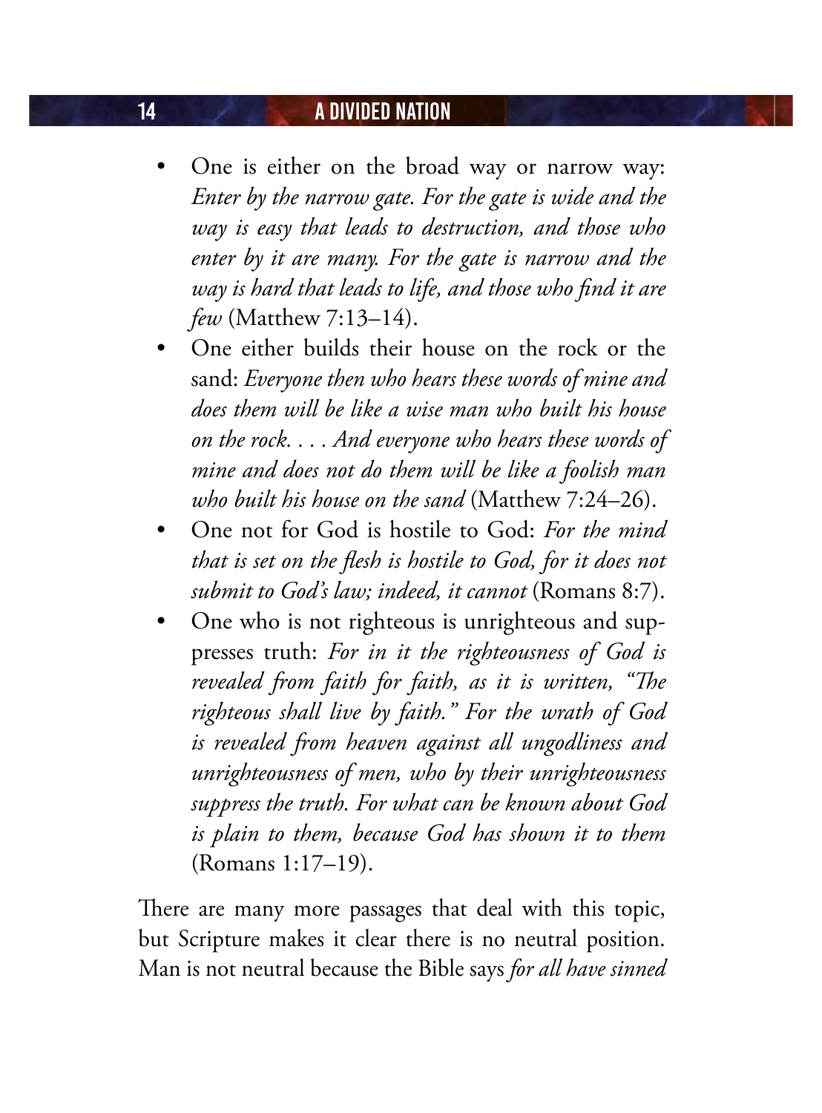### 14 **A DIVIDED NATION**

- One is either on the broad way or narrow way: *Enter by the narrow gate. For the gate is wide and the way is easy that leads to destruction, and those who enter by it are many. For the gate is narrow and the way is hard that leads to life, and those who find it are few* (Matthew 7:13–14).
- One either builds their house on the rock or the sand: *Everyone then who hears these words of mine and does them will be like a wise man who built his house on the rock. . . . And everyone who hears these words of mine and does not do them will be like a foolish man who built his house on the sand* (Matthew 7:24–26).
- One not for God is hostile to God: *For the mind that is set on the flesh is hostile to God, for it does not submit to God's law; indeed, it cannot* (Romans 8:7).
- One who is not righteous is unrighteous and suppresses truth: *For in it the righteousness of God is revealed from faith for faith, as it is written, "The righteous shall live by faith." For the wrath of God is revealed from heaven against all ungodliness and unrighteousness of men, who by their unrighteousness suppress the truth. For what can be known about God is plain to them, because God has shown it to them* (Romans 1:17–19).

There are many more passages that deal with this topic, but Scripture makes it clear there is no neutral position. Man is not neutral because the Bible says *for all have sinned*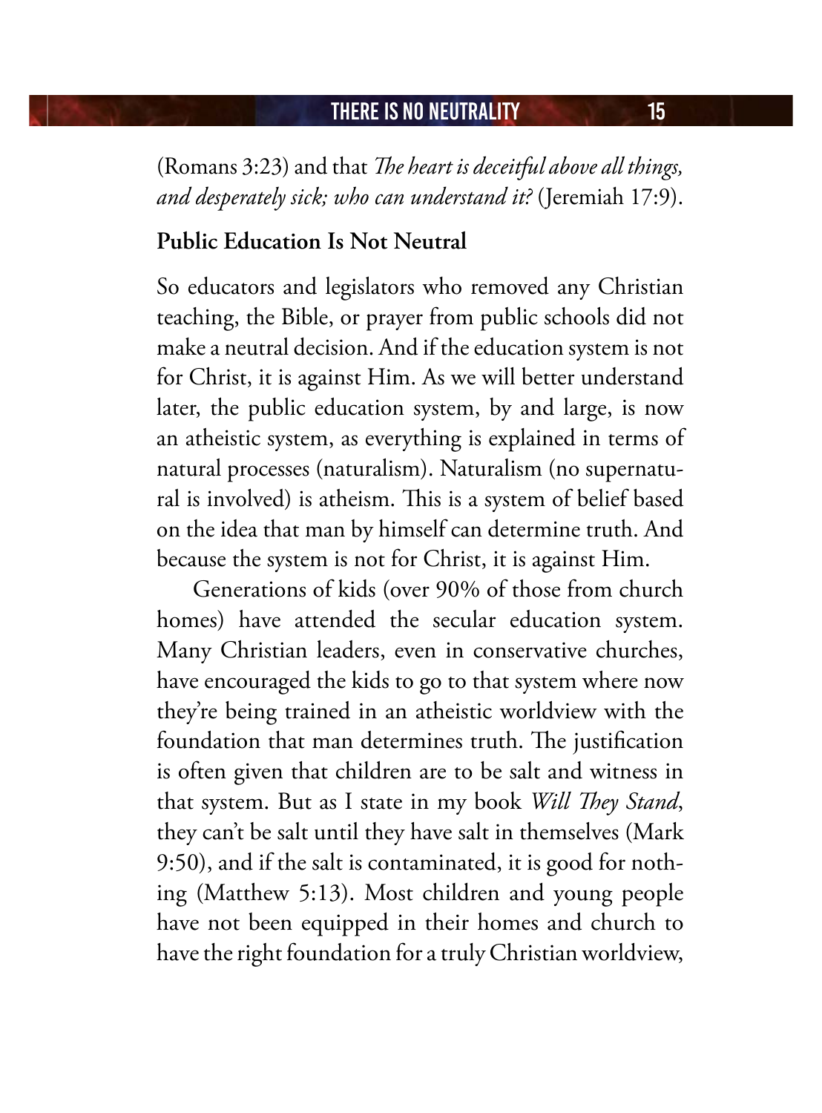(Romans 3:23) and that *The heart is deceitful above all things, and desperately sick; who can understand it?* (Jeremiah 17:9).

### **Public Education Is Not Neutral**

So educators and legislators who removed any Christian teaching, the Bible, or prayer from public schools did not make a neutral decision. And if the education system is not for Christ, it is against Him. As we will better understand later, the public education system, by and large, is now an atheistic system, as everything is explained in terms of natural processes (naturalism). Naturalism (no supernatural is involved) is atheism. This is a system of belief based on the idea that man by himself can determine truth. And because the system is not for Christ, it is against Him.

Generations of kids (over 90% of those from church homes) have attended the secular education system. Many Christian leaders, even in conservative churches, have encouraged the kids to go to that system where now they're being trained in an atheistic worldview with the foundation that man determines truth. The justification is often given that children are to be salt and witness in that system. But as I state in my book *Will They Stand*, they can't be salt until they have salt in themselves (Mark 9:50), and if the salt is contaminated, it is good for nothing (Matthew 5:13). Most children and young people have not been equipped in their homes and church to have the right foundation for a truly Christian worldview,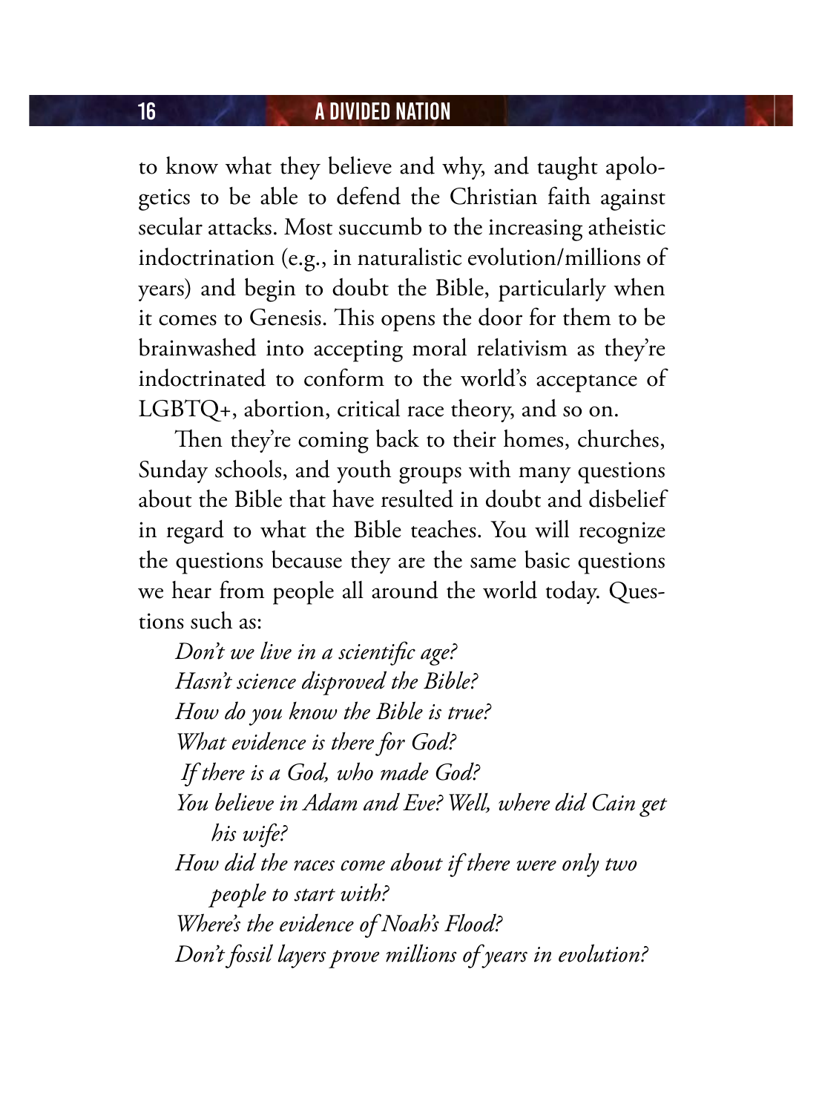### 16 **A DIVIDED NATION**

to know what they believe and why, and taught apologetics to be able to defend the Christian faith against secular attacks. Most succumb to the increasing atheistic indoctrination (e.g., in naturalistic evolution/millions of years) and begin to doubt the Bible, particularly when it comes to Genesis. This opens the door for them to be brainwashed into accepting moral relativism as they're indoctrinated to conform to the world's acceptance of LGBTQ+, abortion, critical race theory, and so on.

Then they're coming back to their homes, churches, Sunday schools, and youth groups with many questions about the Bible that have resulted in doubt and disbelief in regard to what the Bible teaches. You will recognize the questions because they are the same basic questions we hear from people all around the world today. Questions such as:

*Don't we live in a scientific age? Hasn't science disproved the Bible? How do you know the Bible is true? What evidence is there for God? If there is a God, who made God? You believe in Adam and Eve? Well, where did Cain get his wife? How did the races come about if there were only two people to start with? Where's the evidence of Noah's Flood? Don't fossil layers prove millions of years in evolution?*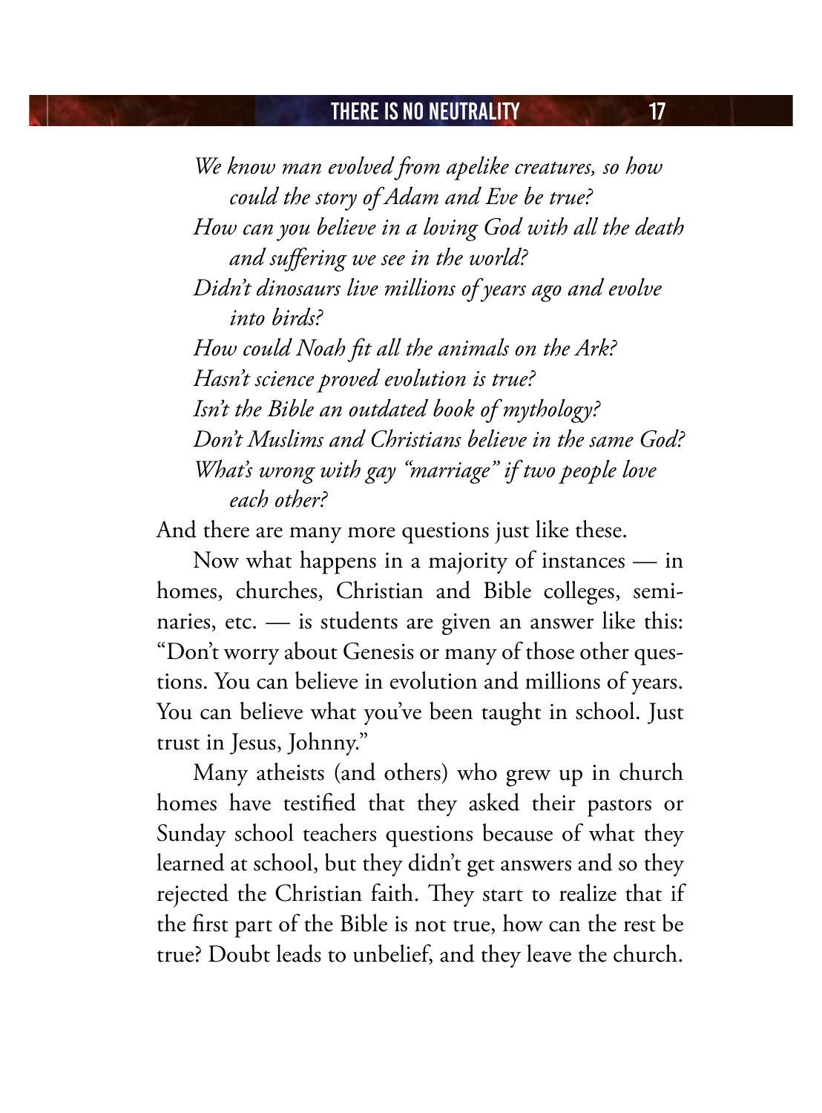*We know man evolved from apelike creatures, so how could the story of Adam and Eve be true? How can you believe in a loving God with all the death and suffering we see in the world? Didn't dinosaurs live millions of years ago and evolve into birds? How could Noah fit all the animals on the Ark? Hasn't science proved evolution is true? Isn't the Bible an outdated book of mythology? Don't Muslims and Christians believe in the same God? What's wrong with gay "marriage" if two people love each other?* 

And there are many more questions just like these.

Now what happens in a majority of instances — in homes, churches, Christian and Bible colleges, seminaries, etc. — is students are given an answer like this: "Don't worry about Genesis or many of those other questions. You can believe in evolution and millions of years. You can believe what you've been taught in school. Just trust in Jesus, Johnny."

Many atheists (and others) who grew up in church homes have testified that they asked their pastors or Sunday school teachers questions because of what they learned at school, but they didn't get answers and so they rejected the Christian faith. They start to realize that if the first part of the Bible is not true, how can the rest be true? Doubt leads to unbelief, and they leave the church.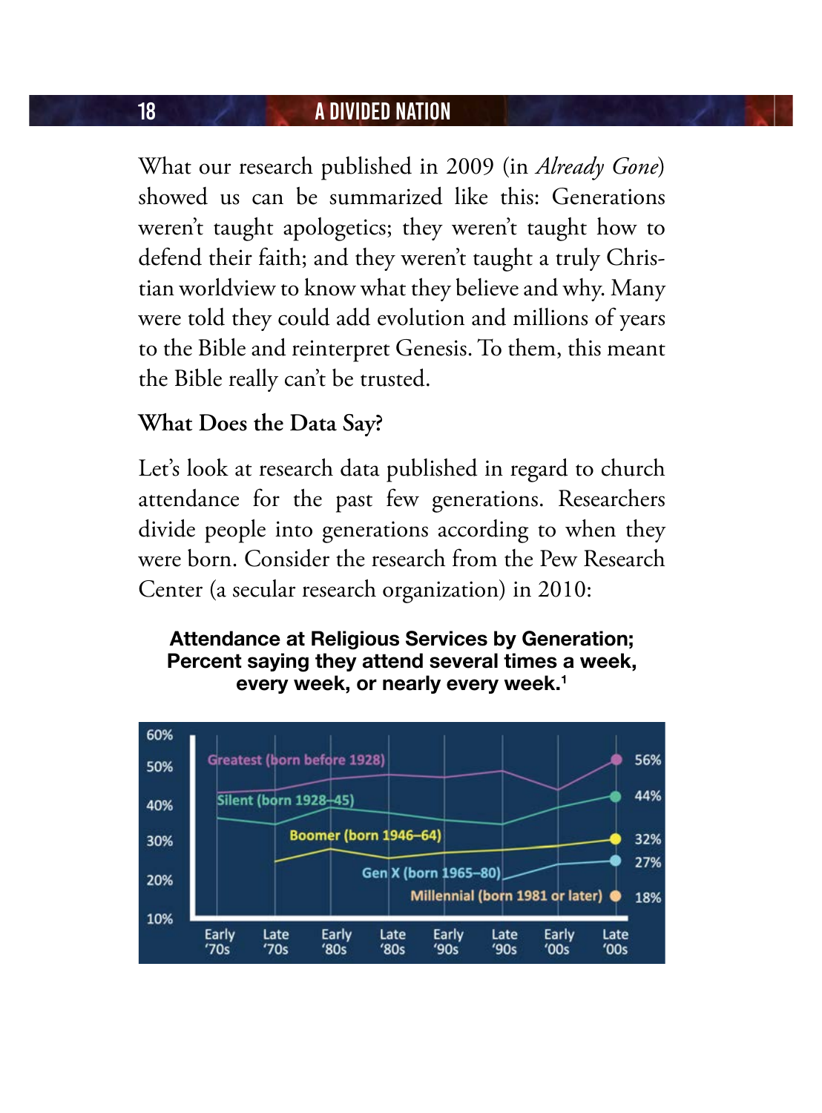### 18 **A DIVIDED NATION**

What our research published in 2009 (in *Already Gone*) showed us can be summarized like this: Generations weren't taught apologetics; they weren't taught how to defend their faith; and they weren't taught a truly Christian worldview to know what they believe and why. Many were told they could add evolution and millions of years to the Bible and reinterpret Genesis. To them, this meant the Bible really can't be trusted.

### **What Does the Data Say?**

Let's look at research data published in regard to church attendance for the past few generations. Researchers divide people into generations according to when they were born. Consider the research from the Pew Research Center (a secular research organization) in 2010:

#### **Attendance at Religious Services by Generation; Percent saying they attend several times a week, every week, or nearly every week.1**

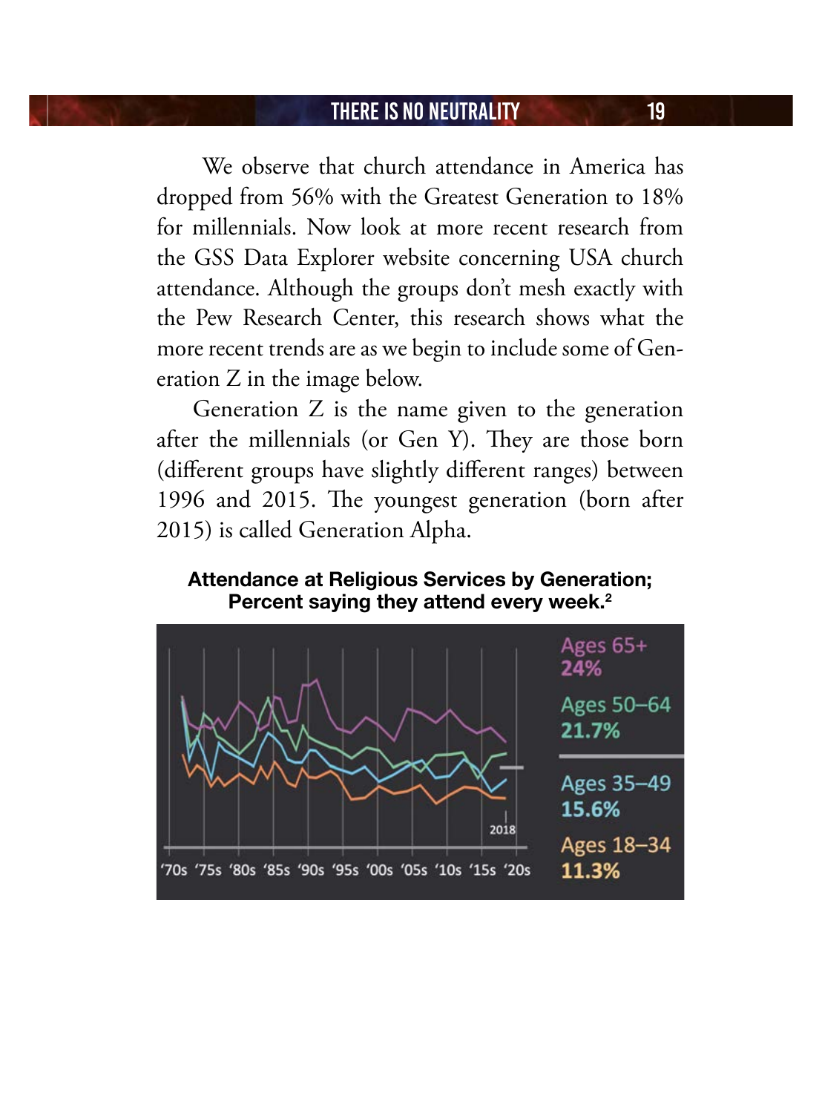We observe that church attendance in America has dropped from 56% with the Greatest Generation to 18% for millennials. Now look at more recent research from the GSS Data Explorer website concerning USA church attendance. Although the groups don't mesh exactly with the Pew Research Center, this research shows what the more recent trends are as we begin to include some of Generation Z in the image below.

Generation Z is the name given to the generation after the millennials (or Gen Y). They are those born (different groups have slightly different ranges) between 1996 and 2015. The youngest generation (born after 2015) is called Generation Alpha.

**Attendance at Religious Services by Generation; Percent saying they attend every week.2**

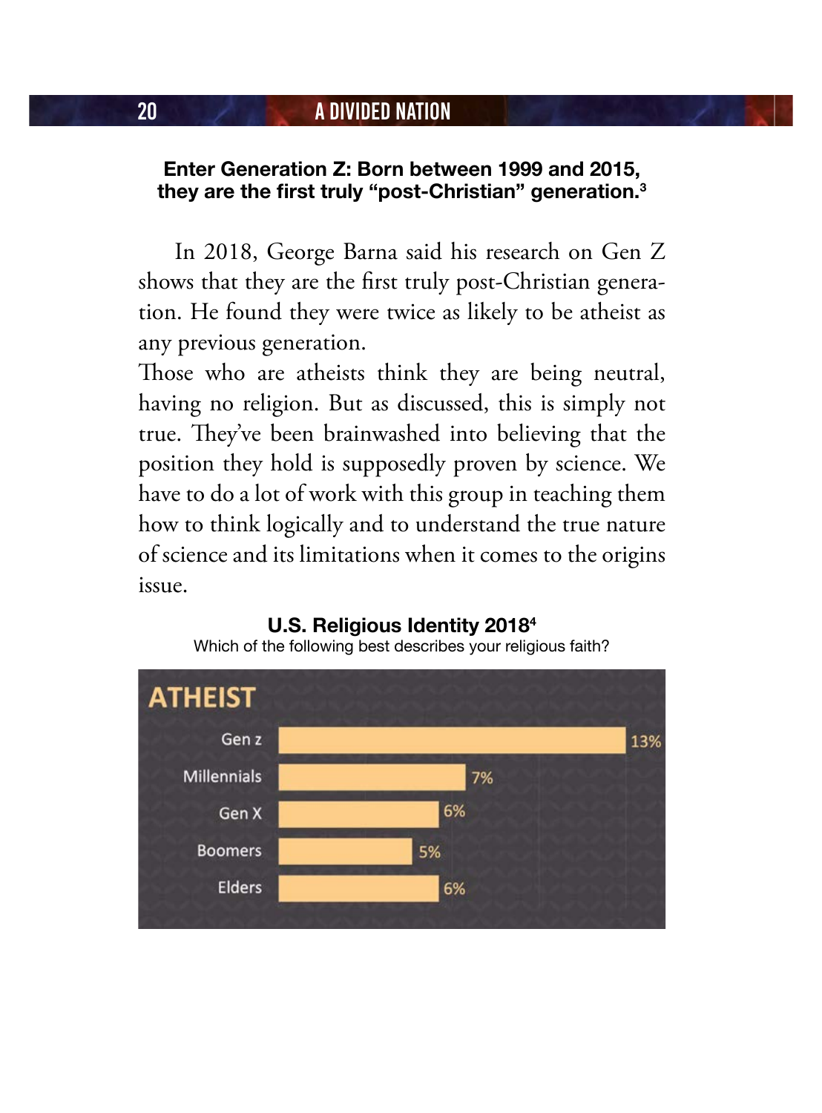### **Enter Generation Z: Born between 1999 and 2015, they are the first truly "post-Christian" generation.<sup>3</sup>**

In 2018, George Barna said his research on Gen Z shows that they are the first truly post-Christian generation. He found they were twice as likely to be atheist as any previous generation.

Those who are atheists think they are being neutral, having no religion. But as discussed, this is simply not true. They've been brainwashed into believing that the position they hold is supposedly proven by science. We have to do a lot of work with this group in teaching them how to think logically and to understand the true nature of science and its limitations when it comes to the origins issue.

#### **U.S. Religious Identity 20184** Which of the following best describes your religious faith?

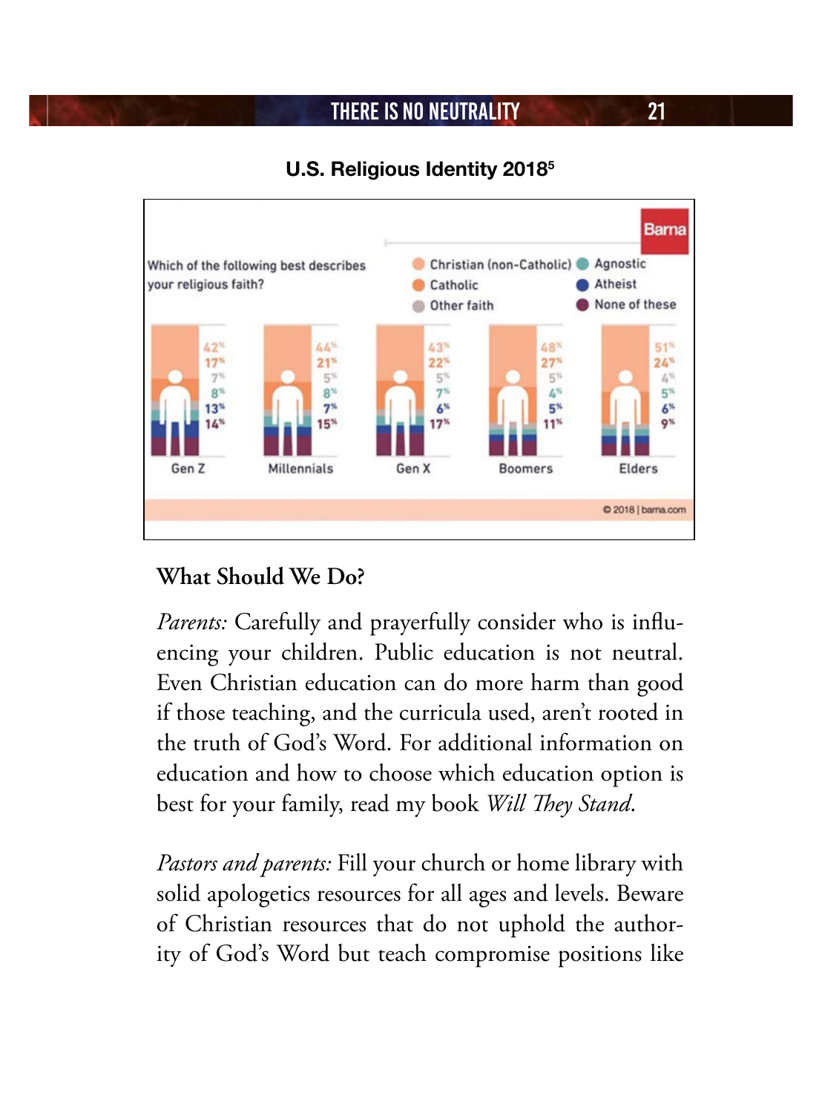### **U.S. Religious Identity 20185**



### **What Should We Do?**

*Parents:* Carefully and prayerfully consider who is influencing your children. Public education is not neutral. Even Christian education can do more harm than good if those teaching, and the curricula used, aren't rooted in the truth of God's Word. For additional information on education and how to choose which education option is best for your family, read my book *Will They Stand*.

*Pastors and parents:* Fill your church or home library with solid apologetics resources for all ages and levels. Beware of Christian resources that do not uphold the authority of God's Word but teach compromise positions like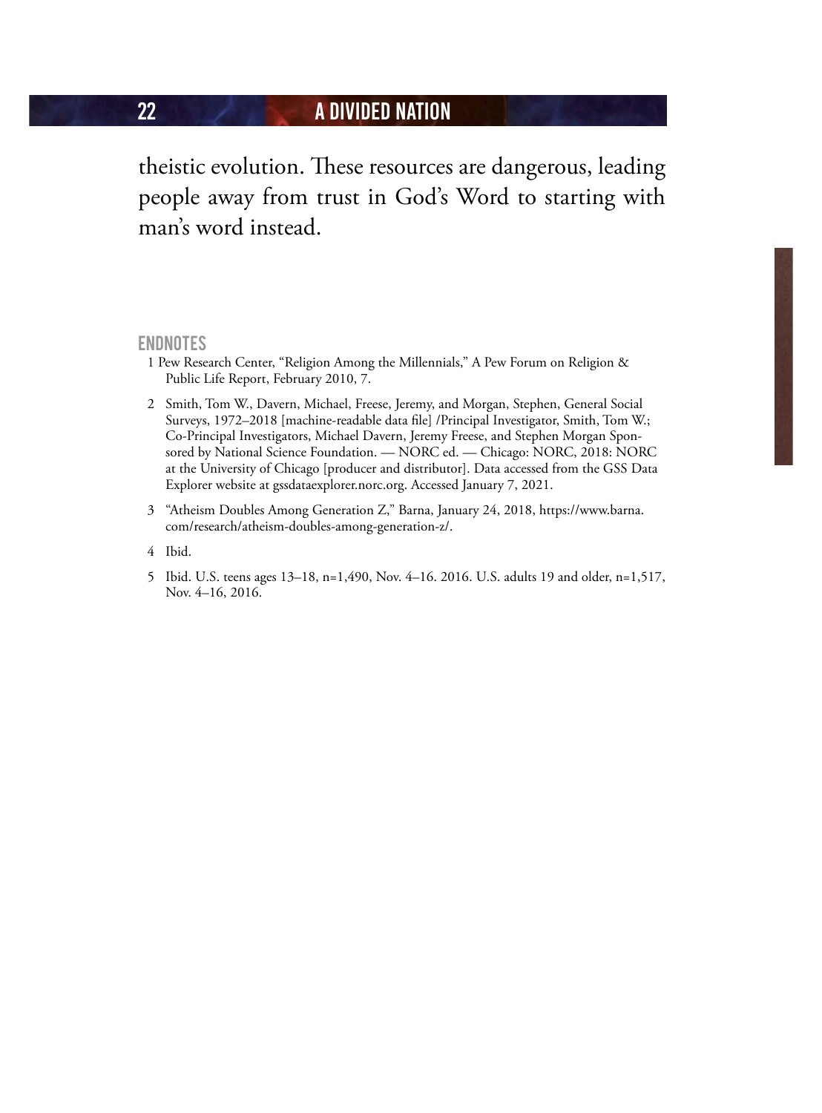theistic evolution. These resources are dangerous, leading people away from trust in God's Word to starting with man's word instead.

#### **ENDNOTES**

- 1 Pew Research Center, "Religion Among the Millennials," A Pew Forum on Religion & Public Life Report, February 2010, 7.
- 2 Smith, Tom W., Davern, Michael, Freese, Jeremy, and Morgan, Stephen, General Social Surveys, 1972–2018 [machine-readable data file] /Principal Investigator, Smith, Tom W.; Co-Principal Investigators, Michael Davern, Jeremy Freese, and Stephen Morgan Sponsored by National Science Foundation. — NORC ed. — Chicago: NORC, 2018: NORC at the University of Chicago [producer and distributor]. Data accessed from the GSS Data Explorer website at gssdataexplorer.norc.org. Accessed January 7, 2021.
- 3 "Atheism Doubles Among Generation Z," Barna, January 24, 2018, https://www.barna. com/research/atheism-doubles-among-generation-z/.
- 4 Ibid.
- 5 Ibid. U.S. teens ages 13–18, n=1,490, Nov. 4–16. 2016. U.S. adults 19 and older, n=1,517, Nov. 4–16, 2016.